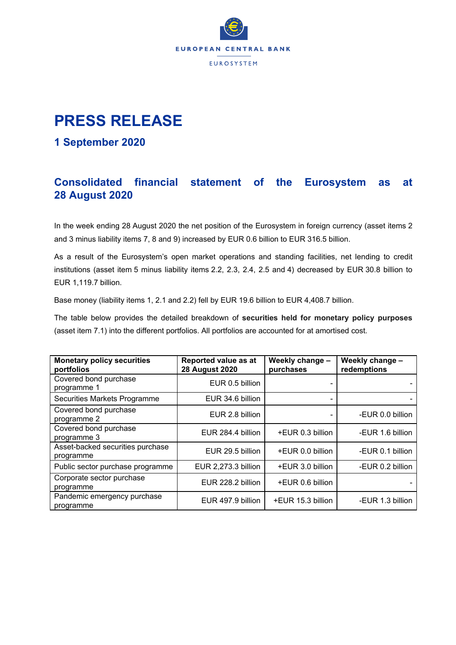

## **PRESS RELEASE**

#### **1 September 2020**

### **Consolidated financial statement of the Eurosystem as at 28 August 2020**

In the week ending 28 August 2020 the net position of the Eurosystem in foreign currency (asset items 2 and 3 minus liability items 7, 8 and 9) increased by EUR 0.6 billion to EUR 316.5 billion.

As a result of the Eurosystem's open market operations and standing facilities, net lending to credit institutions (asset item 5 minus liability items 2.2, 2.3, 2.4, 2.5 and 4) decreased by EUR 30.8 billion to EUR 1,119.7 billion.

Base money (liability items 1, 2.1 and 2.2) fell by EUR 19.6 billion to EUR 4,408.7 billion.

The table below provides the detailed breakdown of **securities held for monetary policy purposes** (asset item 7.1) into the different portfolios. All portfolios are accounted for at amortised cost.

| <b>Monetary policy securities</b><br>portfolios | Reported value as at<br><b>28 August 2020</b> | Weekly change -<br>purchases | Weekly change -<br>redemptions |
|-------------------------------------------------|-----------------------------------------------|------------------------------|--------------------------------|
| Covered bond purchase<br>programme 1            | EUR 0.5 billion                               |                              |                                |
| Securities Markets Programme                    | EUR 34.6 billion                              |                              |                                |
| Covered bond purchase<br>programme 2            | EUR 2.8 billion                               |                              | -EUR 0.0 billion               |
| Covered bond purchase<br>programme 3            | EUR 284.4 billion                             | +EUR 0.3 billion             | -EUR 1.6 billion               |
| Asset-backed securities purchase<br>programme   | EUR 29.5 billion                              | +EUR 0.0 billion             | -EUR 0.1 billion               |
| Public sector purchase programme                | EUR 2,273.3 billion                           | +EUR 3.0 billion             | -EUR 0.2 billion               |
| Corporate sector purchase<br>programme          | EUR 228.2 billion                             | +EUR 0.6 billion             |                                |
| Pandemic emergency purchase<br>programme        | EUR 497.9 billion                             | +EUR 15.3 billion            | -EUR 1.3 billion               |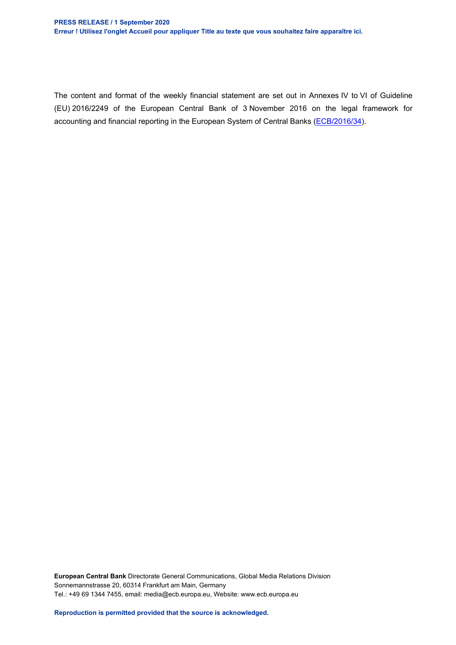#### **PRESS RELEASE / 1 September 2020 Erreur ! Utilisez l'onglet Accueil pour appliquer Title au texte que vous souhaitez faire apparaître ici.**

The content and format of the weekly financial statement are set out in Annexes IV to VI of Guideline (EU) 2016/2249 of the European Central Bank of 3 November 2016 on the legal framework for accounting and financial reporting in the European System of Central Banks [\(ECB/2016/34\)](http://www.ecb.europa.eu/ecb/legal/1001/1012/html/index.en.html).

**European Central Bank** Directorate General Communications, Global Media Relations Division Sonnemannstrasse 20, 60314 Frankfurt am Main, Germany Tel.: +49 69 1344 7455, email: media@ecb.europa.eu, Website: www.ecb.europa.eu